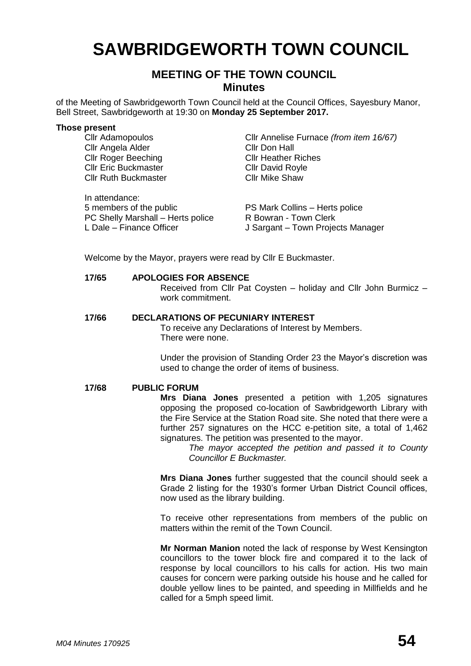# **SAWBRIDGEWORTH TOWN COUNCIL**

# **MEETING OF THE TOWN COUNCIL Minutes**

of the Meeting of Sawbridgeworth Town Council held at the Council Offices, Sayesbury Manor, Bell Street, Sawbridgeworth at 19:30 on **Monday 25 September 2017.**

#### **Those present**

Cllr Angela Alder Cllr Roger Beeching Cllr Heather Riches **Cllr Eric Buckmaster Cllr David Royle** Cllr Ruth Buckmaster Cllr Mike Shaw

In attendance: 5 members of the public PS Mark Collins – Herts police PC Shelly Marshall – Herts police R Bowran - Town Clerk<br>
L Dale – Finance Officer L Sargant – Town Proje

Cllr Adamopoulos Cllr Annelise Furnace *(from item 16/67)*

J Sargant – Town Projects Manager

Welcome by the Mayor, prayers were read by Cllr E Buckmaster.

#### **17/65 APOLOGIES FOR ABSENCE**

Received from Cllr Pat Coysten – holiday and Cllr John Burmicz – work commitment.

# **17/66 DECLARATIONS OF PECUNIARY INTEREST**

To receive any Declarations of Interest by Members. There were none.

Under the provision of Standing Order 23 the Mayor's discretion was used to change the order of items of business.

#### **17/68 PUBLIC FORUM**

**Mrs Diana Jones** presented a petition with 1,205 signatures opposing the proposed co-location of Sawbridgeworth Library with the Fire Service at the Station Road site. She noted that there were a further 257 signatures on the HCC e-petition site, a total of 1,462 signatures. The petition was presented to the mayor.

> *The mayor accepted the petition and passed it to County Councillor E Buckmaster.*

**Mrs Diana Jones** further suggested that the council should seek a Grade 2 listing for the 1930's former Urban District Council offices, now used as the library building.

To receive other representations from members of the public on matters within the remit of the Town Council.

**Mr Norman Manion** noted the lack of response by West Kensington councillors to the tower block fire and compared it to the lack of response by local councillors to his calls for action. His two main causes for concern were parking outside his house and he called for double yellow lines to be painted, and speeding in Millfields and he called for a 5mph speed limit.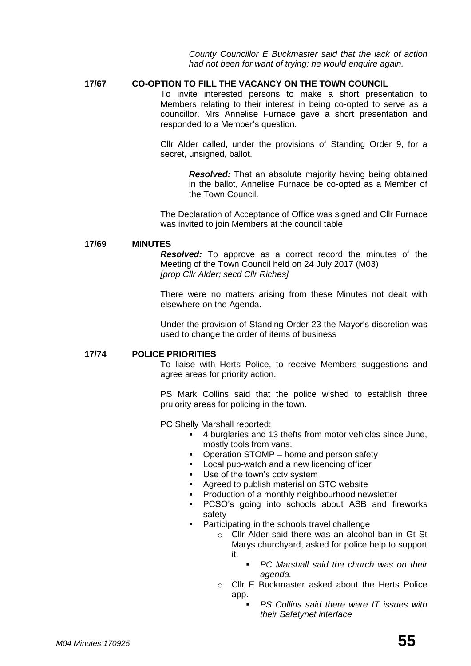*County Councillor E Buckmaster said that the lack of action had not been for want of trying; he would enquire again.*

#### **17/67 CO-OPTION TO FILL THE VACANCY ON THE TOWN COUNCIL**

To invite interested persons to make a short presentation to Members relating to their interest in being co-opted to serve as a councillor. Mrs Annelise Furnace gave a short presentation and responded to a Member's question.

Cllr Alder called, under the provisions of Standing Order 9, for a secret, unsigned, ballot.

> *Resolved:* That an absolute majority having being obtained in the ballot, Annelise Furnace be co-opted as a Member of the Town Council.

The Declaration of Acceptance of Office was signed and Cllr Furnace was invited to join Members at the council table.

#### **17/69 MINUTES**

*Resolved:* To approve as a correct record the minutes of the Meeting of the Town Council held on 24 July 2017 (M03) *[prop Cllr Alder; secd Cllr Riches]*

There were no matters arising from these Minutes not dealt with elsewhere on the Agenda.

Under the provision of Standing Order 23 the Mayor's discretion was used to change the order of items of business

#### **17/74 POLICE PRIORITIES**

To liaise with Herts Police, to receive Members suggestions and agree areas for priority action.

PS Mark Collins said that the police wished to establish three pruiority areas for policing in the town.

PC Shelly Marshall reported:

- 4 burglaries and 13 thefts from motor vehicles since June, mostly tools from vans.
- Operation STOMP home and person safety
- **Local pub-watch and a new licencing officer**
- Use of the town's cctv system
- Agreed to publish material on STC website
- **Production of a monthly neighbourhood newsletter**
- PCSO's going into schools about ASB and fireworks safety
- **Participating in the schools travel challenge** 
	- o Cllr Alder said there was an alcohol ban in Gt St Marys churchyard, asked for police help to support it.
		- *PC Marshall said the church was on their agenda.*
	- o Cllr E Buckmaster asked about the Herts Police app.
		- *PS Collins said there were IT issues with their Safetynet interface*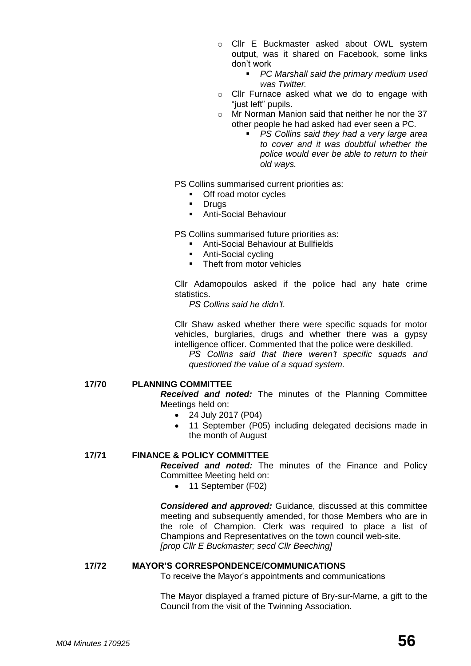- o Cllr E Buckmaster asked about OWL system output, was it shared on Facebook, some links don't work
	- *PC Marshall said the primary medium used was Twitter.*
- o Cllr Furnace asked what we do to engage with "just left" pupils.
- o Mr Norman Manion said that neither he nor the 37 other people he had asked had ever seen a PC.
	- *PS Collins said they had a very large area to cover and it was doubtful whether the police would ever be able to return to their old ways.*

PS Collins summarised current priorities as:

- **•** Off road motor cycles
- **-** Drugs
- Anti-Social Behaviour

PS Collins summarised future priorities as:

- **Anti-Social Behaviour at Bullfields**
- Anti-Social cycling
- Theft from motor vehicles

Cllr Adamopoulos asked if the police had any hate crime statistics.

*PS Collins said he didn't.*

Cllr Shaw asked whether there were specific squads for motor vehicles, burglaries, drugs and whether there was a gypsy intelligence officer. Commented that the police were deskilled.

*PS Collins said that there weren't specific squads and questioned the value of a squad system.*

#### **17/70 PLANNING COMMITTEE**

*Received and noted:* The minutes of the Planning Committee Meetings held on:

- 24 July 2017 (P04)
- 11 September (P05) including delegated decisions made in the month of August

# **17/71 FINANCE & POLICY COMMITTEE**

*Received and noted:* The minutes of the Finance and Policy Committee Meeting held on:

• 11 September (F02)

*Considered and approved:* Guidance, discussed at this committee meeting and subsequently amended, for those Members who are in the role of Champion. Clerk was required to place a list of Champions and Representatives on the town council web-site. *[prop Cllr E Buckmaster; secd Cllr Beeching]*

#### **17/72 MAYOR'S CORRESPONDENCE/COMMUNICATIONS**

To receive the Mayor's appointments and communications

The Mayor displayed a framed picture of Bry-sur-Marne, a gift to the Council from the visit of the Twinning Association.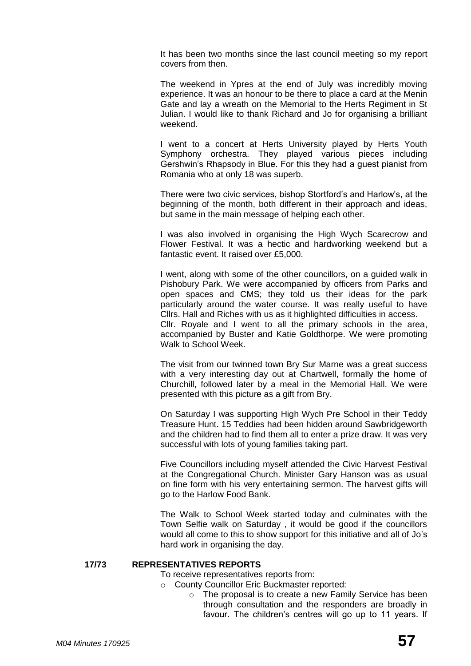It has been two months since the last council meeting so my report covers from then.

The weekend in Ypres at the end of July was incredibly moving experience. It was an honour to be there to place a card at the Menin Gate and lay a wreath on the Memorial to the Herts Regiment in St Julian. I would like to thank Richard and Jo for organising a brilliant weekend.

I went to a concert at Herts University played by Herts Youth Symphony orchestra. They played various pieces including Gershwin's Rhapsody in Blue. For this they had a guest pianist from Romania who at only 18 was superb.

There were two civic services, bishop Stortford's and Harlow's, at the beginning of the month, both different in their approach and ideas, but same in the main message of helping each other.

I was also involved in organising the High Wych Scarecrow and Flower Festival. It was a hectic and hardworking weekend but a fantastic event. It raised over £5,000.

I went, along with some of the other councillors, on a guided walk in Pishobury Park. We were accompanied by officers from Parks and open spaces and CMS; they told us their ideas for the park particularly around the water course. It was really useful to have Cllrs. Hall and Riches with us as it highlighted difficulties in access. Cllr. Royale and I went to all the primary schools in the area, accompanied by Buster and Katie Goldthorpe. We were promoting Walk to School Week.

The visit from our twinned town Bry Sur Marne was a great success with a very interesting day out at Chartwell, formally the home of Churchill, followed later by a meal in the Memorial Hall. We were presented with this picture as a gift from Bry.

On Saturday I was supporting High Wych Pre School in their Teddy Treasure Hunt. 15 Teddies had been hidden around Sawbridgeworth and the children had to find them all to enter a prize draw. It was very successful with lots of young families taking part.

Five Councillors including myself attended the Civic Harvest Festival at the Congregational Church. Minister Gary Hanson was as usual on fine form with his very entertaining sermon. The harvest gifts will go to the Harlow Food Bank.

The Walk to School Week started today and culminates with the Town Selfie walk on Saturday , it would be good if the councillors would all come to this to show support for this initiative and all of Jo's hard work in organising the day.

#### **17/73 REPRESENTATIVES REPORTS**

To receive representatives reports from:

- o County Councillor Eric Buckmaster reported:
	- o The proposal is to create a new Family Service has been through consultation and the responders are broadly in favour. The children's centres will go up to 11 years. If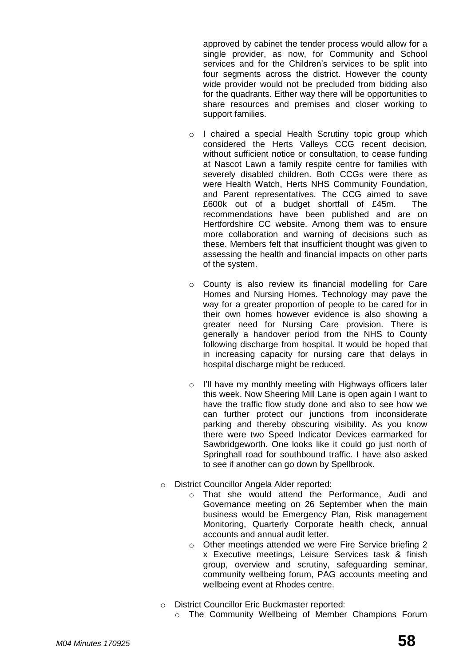approved by cabinet the tender process would allow for a single provider, as now, for Community and School services and for the Children's services to be split into four segments across the district. However the county wide provider would not be precluded from bidding also for the quadrants. Either way there will be opportunities to share resources and premises and closer working to support families.

- o I chaired a special Health Scrutiny topic group which considered the Herts Valleys CCG recent decision, without sufficient notice or consultation, to cease funding at Nascot Lawn a family respite centre for families with severely disabled children. Both CCGs were there as were Health Watch, Herts NHS Community Foundation, and Parent representatives. The CCG aimed to save £600k out of a budget shortfall of £45m. The recommendations have been published and are on Hertfordshire CC website. Among them was to ensure more collaboration and warning of decisions such as these. Members felt that insufficient thought was given to assessing the health and financial impacts on other parts of the system.
- o County is also review its financial modelling for Care Homes and Nursing Homes. Technology may pave the way for a greater proportion of people to be cared for in their own homes however evidence is also showing a greater need for Nursing Care provision. There is generally a handover period from the NHS to County following discharge from hospital. It would be hoped that in increasing capacity for nursing care that delays in hospital discharge might be reduced.
- o I'll have my monthly meeting with Highways officers later this week. Now Sheering Mill Lane is open again I want to have the traffic flow study done and also to see how we can further protect our junctions from inconsiderate parking and thereby obscuring visibility. As you know there were two Speed Indicator Devices earmarked for Sawbridgeworth. One looks like it could go just north of Springhall road for southbound traffic. I have also asked to see if another can go down by Spellbrook.
- o District Councillor Angela Alder reported:
	- o That she would attend the Performance, Audi and Governance meeting on 26 September when the main business would be Emergency Plan, Risk management Monitoring, Quarterly Corporate health check, annual accounts and annual audit letter.
	- o Other meetings attended we were Fire Service briefing 2 x Executive meetings, Leisure Services task & finish group, overview and scrutiny, safeguarding seminar, community wellbeing forum, PAG accounts meeting and wellbeing event at Rhodes centre.
- o District Councillor Eric Buckmaster reported:
	- o The Community Wellbeing of Member Champions Forum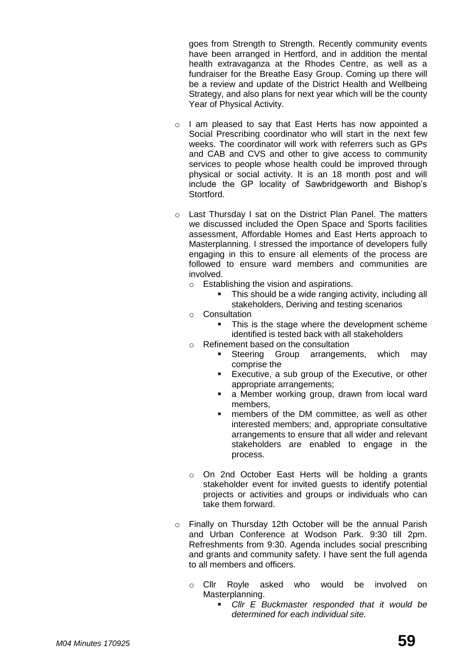goes from Strength to Strength. Recently community events have been arranged in Hertford, and in addition the mental health extravaganza at the Rhodes Centre, as well as a fundraiser for the Breathe Easy Group. Coming up there will be a review and update of the District Health and Wellbeing Strategy, and also plans for next year which will be the county Year of Physical Activity.

- o I am pleased to say that East Herts has now appointed a Social Prescribing coordinator who will start in the next few weeks. The coordinator will work with referrers such as GPs and CAB and CVS and other to give access to community services to people whose health could be improved through physical or social activity. It is an 18 month post and will include the GP locality of Sawbridgeworth and Bishop's Stortford.
- o Last Thursday I sat on the District Plan Panel. The matters we discussed included the Open Space and Sports facilities assessment, Affordable Homes and East Herts approach to Masterplanning. I stressed the importance of developers fully engaging in this to ensure all elements of the process are followed to ensure ward members and communities are involved.
	- o Establishing the vision and aspirations.
		- This should be a wide ranging activity, including all stakeholders, Deriving and testing scenarios
	- o Consultation
		- This is the stage where the development scheme identified is tested back with all stakeholders
	- o Refinement based on the consultation
		- Steering Group arrangements, which may comprise the
		- **Executive, a sub group of the Executive, or other** appropriate arrangements;
		- **a** Member working group, drawn from local ward members,
		- members of the DM committee, as well as other interested members; and, appropriate consultative arrangements to ensure that all wider and relevant stakeholders are enabled to engage in the process.
	- o On 2nd October East Herts will be holding a grants stakeholder event for invited guests to identify potential projects or activities and groups or individuals who can take them forward.
- o Finally on Thursday 12th October will be the annual Parish and Urban Conference at Wodson Park. 9:30 till 2pm. Refreshments from 9:30. Agenda includes social prescribing and grants and community safety. I have sent the full agenda to all members and officers.
	- o Cllr Royle asked who would be involved on Masterplanning.
		- *Cllr E Buckmaster responded that it would be determined for each individual site.*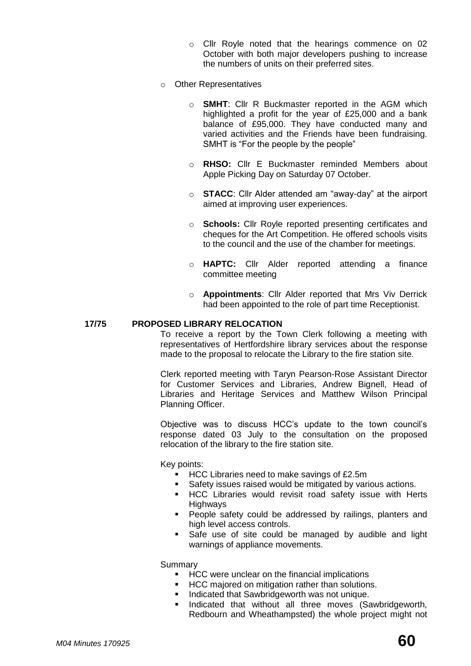- o Cllr Royle noted that the hearings commence on 02 October with both major developers pushing to increase the numbers of units on their preferred sites.
- o Other Representatives
	- o **SMHT**: Cllr R Buckmaster reported in the AGM which highlighted a profit for the year of £25,000 and a bank balance of £95,000. They have conducted many and varied activities and the Friends have been fundraising. SMHT is "For the people by the people"
	- o **RHSO:** Cllr E Buckmaster reminded Members about Apple Picking Day on Saturday 07 October.
	- o **STACC**: Cllr Alder attended am "away-day" at the airport aimed at improving user experiences.
	- o **Schools:** Cllr Royle reported presenting certificates and cheques for the Art Competition. He offered schools visits to the council and the use of the chamber for meetings.
	- o **HAPTC:** Cllr Alder reported attending a finance committee meeting
	- o **Appointments**: Cllr Alder reported that Mrs Viv Derrick had been appointed to the role of part time Receptionist.

# **17/75 PROPOSED LIBRARY RELOCATION**

To receive a report by the Town Clerk following a meeting with representatives of Hertfordshire library services about the response made to the proposal to relocate the Library to the fire station site.

Clerk reported meeting with Taryn Pearson-Rose Assistant Director for Customer Services and Libraries, Andrew Bignell, Head of Libraries and Heritage Services and Matthew Wilson Principal Planning Officer.

Objective was to discuss HCC's update to the town council's response dated 03 July to the consultation on the proposed relocation of the library to the fire station site.

Key points:

- HCC Libraries need to make savings of £2.5m
	- Safety issues raised would be mitigated by various actions.
- HCC Libraries would revisit road safety issue with Herts Highways
- **People safety could be addressed by railings, planters and** high level access controls.
- Safe use of site could be managed by audible and light warnings of appliance movements.

Summary

- **EXEC WERE UNCLEARY ON the financial implications**
- **HCC** majored on mitigation rather than solutions.
- **Indicated that Sawbridgeworth was not unique.**
- Indicated that without all three moves (Sawbridgeworth, Redbourn and Wheathampsted) the whole project might not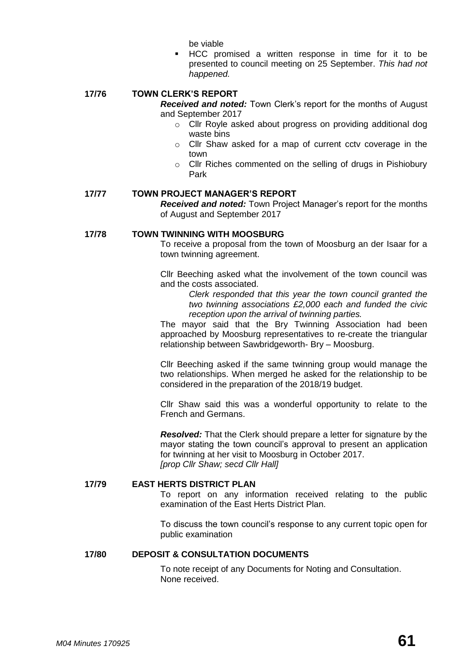be viable

 HCC promised a written response in time for it to be presented to council meeting on 25 September. *This had not happened.*

# **17/76 TOWN CLERK'S REPORT**

*Received and noted:* Town Clerk's report for the months of August and September 2017

- o Cllr Royle asked about progress on providing additional dog waste bins
- o Cllr Shaw asked for a map of current cctv coverage in the town
- o Cllr Riches commented on the selling of drugs in Pishiobury Park

#### **17/77 TOWN PROJECT MANAGER'S REPORT**

*Received and noted:* Town Project Manager's report for the months of August and September 2017

#### **17/78 TOWN TWINNING WITH MOOSBURG**

To receive a proposal from the town of Moosburg an der Isaar for a town twinning agreement.

Cllr Beeching asked what the involvement of the town council was and the costs associated.

*Clerk responded that this year the town council granted the two twinning associations £2,000 each and funded the civic reception upon the arrival of twinning parties.*

The mayor said that the Bry Twinning Association had been approached by Moosburg representatives to re-create the triangular relationship between Sawbridgeworth- Bry – Moosburg.

Cllr Beeching asked if the same twinning group would manage the two relationships. When merged he asked for the relationship to be considered in the preparation of the 2018/19 budget.

Cllr Shaw said this was a wonderful opportunity to relate to the French and Germans.

*Resolved:* That the Clerk should prepare a letter for signature by the mayor stating the town council's approval to present an application for twinning at her visit to Moosburg in October 2017. *[prop Cllr Shaw; secd Cllr Hall]*

#### **17/79 EAST HERTS DISTRICT PLAN**

To report on any information received relating to the public examination of the East Herts District Plan.

To discuss the town council's response to any current topic open for public examination

# **17/80 DEPOSIT & CONSULTATION DOCUMENTS**

To note receipt of any Documents for Noting and Consultation. None received.